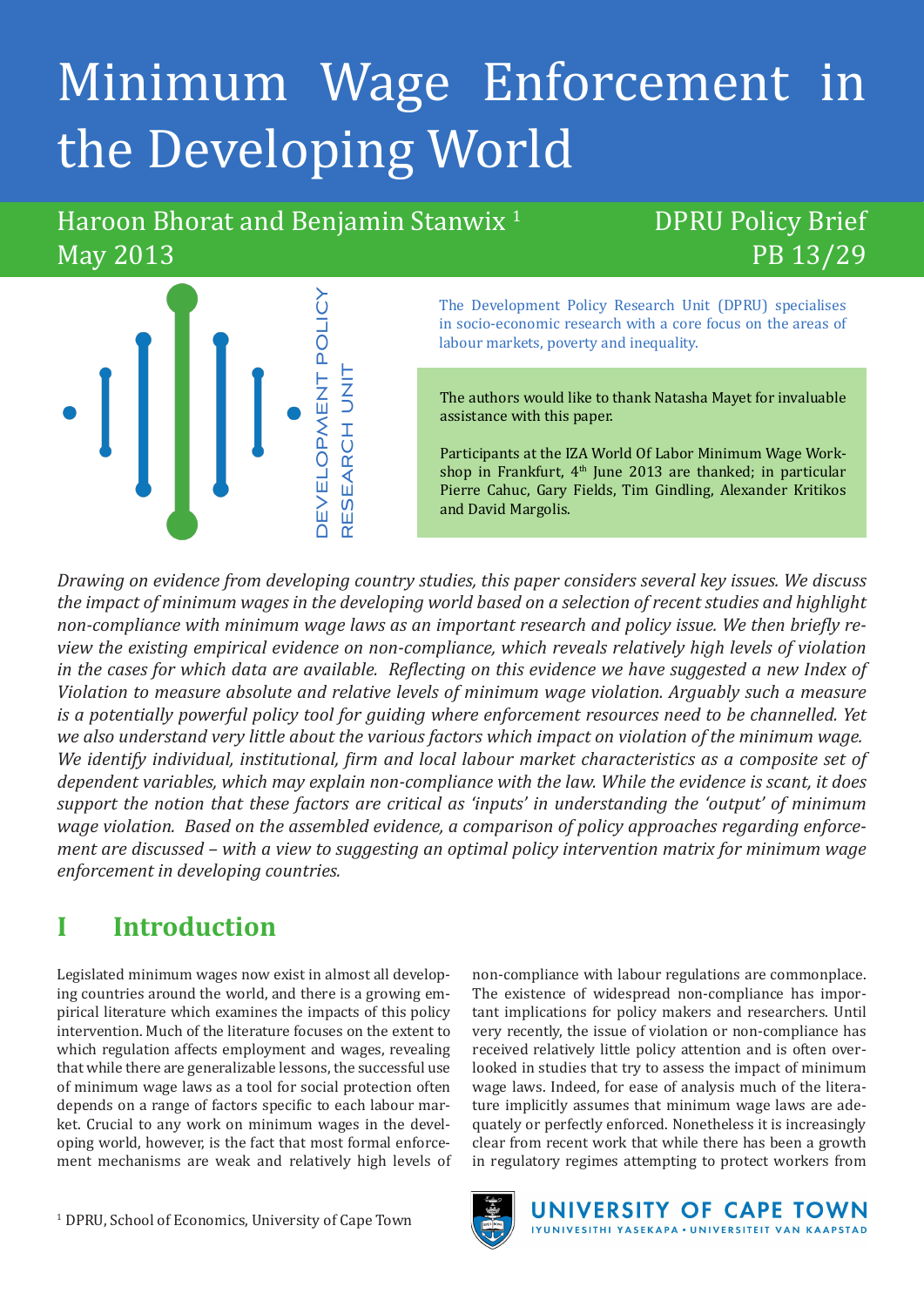# Minimum Wage Enforcement in the Developing World

Haroon Bhorat and Benjamin Stanwix<sup>1</sup> May 2013

## DPRU Policy Brief PB 13/29



The Development Policy Research Unit (DPRU) specialises in socio-economic research with a core focus on the areas of labour markets, poverty and inequality.

The authors would like to thank Natasha Mayet for invaluable assistance with this paper.

Participants at the IZA World Of Labor Minimum Wage Workshop in Frankfurt,  $4<sup>th</sup>$  June 2013 are thanked; in particular Pierre Cahuc, Gary Fields, Tim Gindling, Alexander Kritikos and David Margolis.

*Drawing on evidence from developing country studies, this paper considers several key issues. We discuss the impact of minimum wages in the developing world based on a selection of recent studies and highlight non-compliance with minimum wage laws as an important research and policy issue. We then briefly review the existing empirical evidence on non-compliance, which reveals relatively high levels of violation in the cases for which data are available. Reflecting on this evidence we have suggested a new Index of Violation to measure absolute and relative levels of minimum wage violation. Arguably such a measure is a potentially powerful policy tool for guiding where enforcement resources need to be channelled. Yet we also understand very little about the various factors which impact on violation of the minimum wage. We identify individual, institutional, firm and local labour market characteristics as a composite set of dependent variables, which may explain non-compliance with the law. While the evidence is scant, it does support the notion that these factors are critical as 'inputs' in understanding the 'output' of minimum wage violation. Based on the assembled evidence, a comparison of policy approaches regarding enforcement are discussed – with a view to suggesting an optimal policy intervention matrix for minimum wage enforcement in developing countries.*

# **I Introduction**

Legislated minimum wages now exist in almost all developing countries around the world, and there is a growing empirical literature which examines the impacts of this policy intervention. Much of the literature focuses on the extent to which regulation affects employment and wages, revealing that while there are generalizable lessons, the successful use of minimum wage laws as a tool for social protection often depends on a range of factors specific to each labour market. Crucial to any work on minimum wages in the developing world, however, is the fact that most formal enforcement mechanisms are weak and relatively high levels of

non-compliance with labour regulations are commonplace. The existence of widespread non-compliance has important implications for policy makers and researchers. Until very recently, the issue of violation or non-compliance has received relatively little policy attention and is often overlooked in studies that try to assess the impact of minimum wage laws. Indeed, for ease of analysis much of the literature implicitly assumes that minimum wage laws are adequately or perfectly enforced. Nonetheless it is increasingly clear from recent work that while there has been a growth in regulatory regimes attempting to protect workers from

> UNIVERSITY OF CAPE TOWN IYUNIVESITHI YASEKAPA . UNIVERSITEIT VAN KAAPSTAD

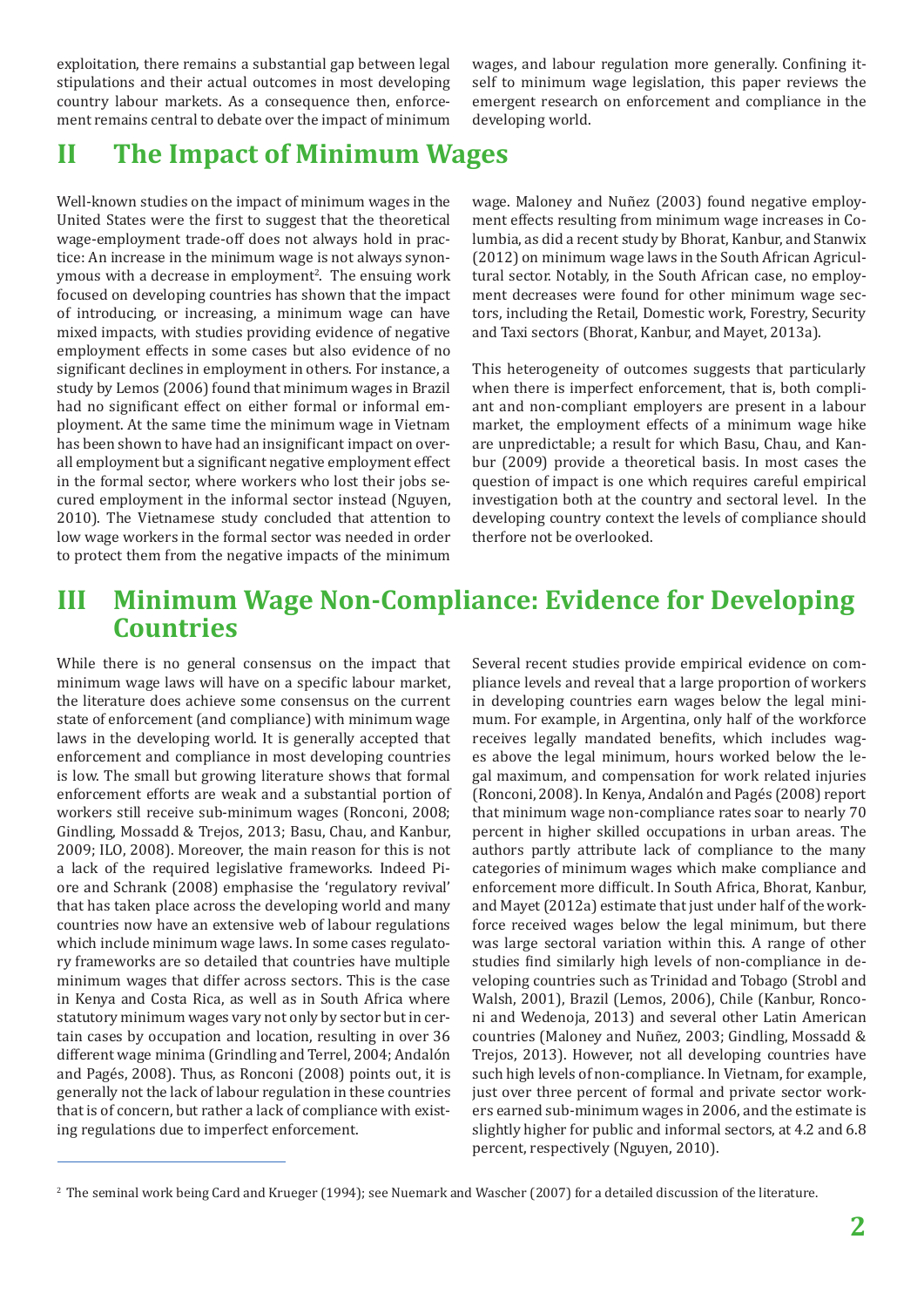exploitation, there remains a substantial gap between legal stipulations and their actual outcomes in most developing country labour markets. As a consequence then, enforcement remains central to debate over the impact of minimum wages, and labour regulation more generally. Confining itself to minimum wage legislation, this paper reviews the emergent research on enforcement and compliance in the developing world.

### **II The Impact of Minimum Wages**

Well-known studies on the impact of minimum wages in the United States were the first to suggest that the theoretical wage-employment trade-off does not always hold in practice: An increase in the minimum wage is not always synonymous with a decrease in employment<sup>2</sup>. The ensuing work focused on developing countries has shown that the impact of introducing, or increasing, a minimum wage can have mixed impacts, with studies providing evidence of negative employment effects in some cases but also evidence of no significant declines in employment in others. For instance, a study by Lemos (2006) found that minimum wages in Brazil had no significant effect on either formal or informal employment. At the same time the minimum wage in Vietnam has been shown to have had an insignificant impact on overall employment but a significant negative employment effect in the formal sector, where workers who lost their jobs secured employment in the informal sector instead (Nguyen, 2010). The Vietnamese study concluded that attention to low wage workers in the formal sector was needed in order to protect them from the negative impacts of the minimum

wage. Maloney and Nuñez (2003) found negative employment effects resulting from minimum wage increases in Columbia, as did a recent study by Bhorat, Kanbur, and Stanwix (2012) on minimum wage laws in the South African Agricultural sector. Notably, in the South African case, no employment decreases were found for other minimum wage sectors, including the Retail, Domestic work, Forestry, Security and Taxi sectors (Bhorat, Kanbur, and Mayet, 2013a).

This heterogeneity of outcomes suggests that particularly when there is imperfect enforcement, that is, both compliant and non-compliant employers are present in a labour market, the employment effects of a minimum wage hike are unpredictable; a result for which Basu, Chau, and Kanbur (2009) provide a theoretical basis. In most cases the question of impact is one which requires careful empirical investigation both at the country and sectoral level. In the developing country context the levels of compliance should therfore not be overlooked.

### **III Minimum Wage Non-Compliance: Evidence for Developing Countries**

While there is no general consensus on the impact that minimum wage laws will have on a specific labour market, the literature does achieve some consensus on the current state of enforcement (and compliance) with minimum wage laws in the developing world. It is generally accepted that enforcement and compliance in most developing countries is low. The small but growing literature shows that formal enforcement efforts are weak and a substantial portion of workers still receive sub-minimum wages (Ronconi, 2008; Gindling, Mossadd & Trejos, 2013; Basu, Chau, and Kanbur, 2009; ILO, 2008). Moreover, the main reason for this is not a lack of the required legislative frameworks. Indeed Piore and Schrank (2008) emphasise the 'regulatory revival' that has taken place across the developing world and many countries now have an extensive web of labour regulations which include minimum wage laws. In some cases regulatory frameworks are so detailed that countries have multiple minimum wages that differ across sectors. This is the case in Kenya and Costa Rica, as well as in South Africa where statutory minimum wages vary not only by sector but in certain cases by occupation and location, resulting in over 36 different wage minima (Grindling and Terrel, 2004; Andalón and Pagés, 2008). Thus, as Ronconi (2008) points out, it is generally not the lack of labour regulation in these countries that is of concern, but rather a lack of compliance with existing regulations due to imperfect enforcement.

Several recent studies provide empirical evidence on compliance levels and reveal that a large proportion of workers in developing countries earn wages below the legal minimum. For example, in Argentina, only half of the workforce receives legally mandated benefits, which includes wages above the legal minimum, hours worked below the legal maximum, and compensation for work related injuries (Ronconi, 2008). In Kenya, Andalón and Pagés (2008) report that minimum wage non-compliance rates soar to nearly 70 percent in higher skilled occupations in urban areas. The authors partly attribute lack of compliance to the many categories of minimum wages which make compliance and enforcement more difficult. In South Africa, Bhorat, Kanbur, and Mayet (2012a) estimate that just under half of the workforce received wages below the legal minimum, but there was large sectoral variation within this. A range of other studies find similarly high levels of non-compliance in developing countries such as Trinidad and Tobago (Strobl and Walsh, 2001), Brazil (Lemos, 2006), Chile (Kanbur, Ronconi and Wedenoja, 2013) and several other Latin American countries (Maloney and Nuñez, 2003; Gindling, Mossadd & Trejos, 2013). However, not all developing countries have such high levels of non-compliance. In Vietnam, for example, just over three percent of formal and private sector workers earned sub-minimum wages in 2006, and the estimate is slightly higher for public and informal sectors, at 4.2 and 6.8 percent, respectively (Nguyen, 2010).

<sup>&</sup>lt;sup>2</sup> The seminal work being Card and Krueger (1994); see Nuemark and Wascher (2007) for a detailed discussion of the literature.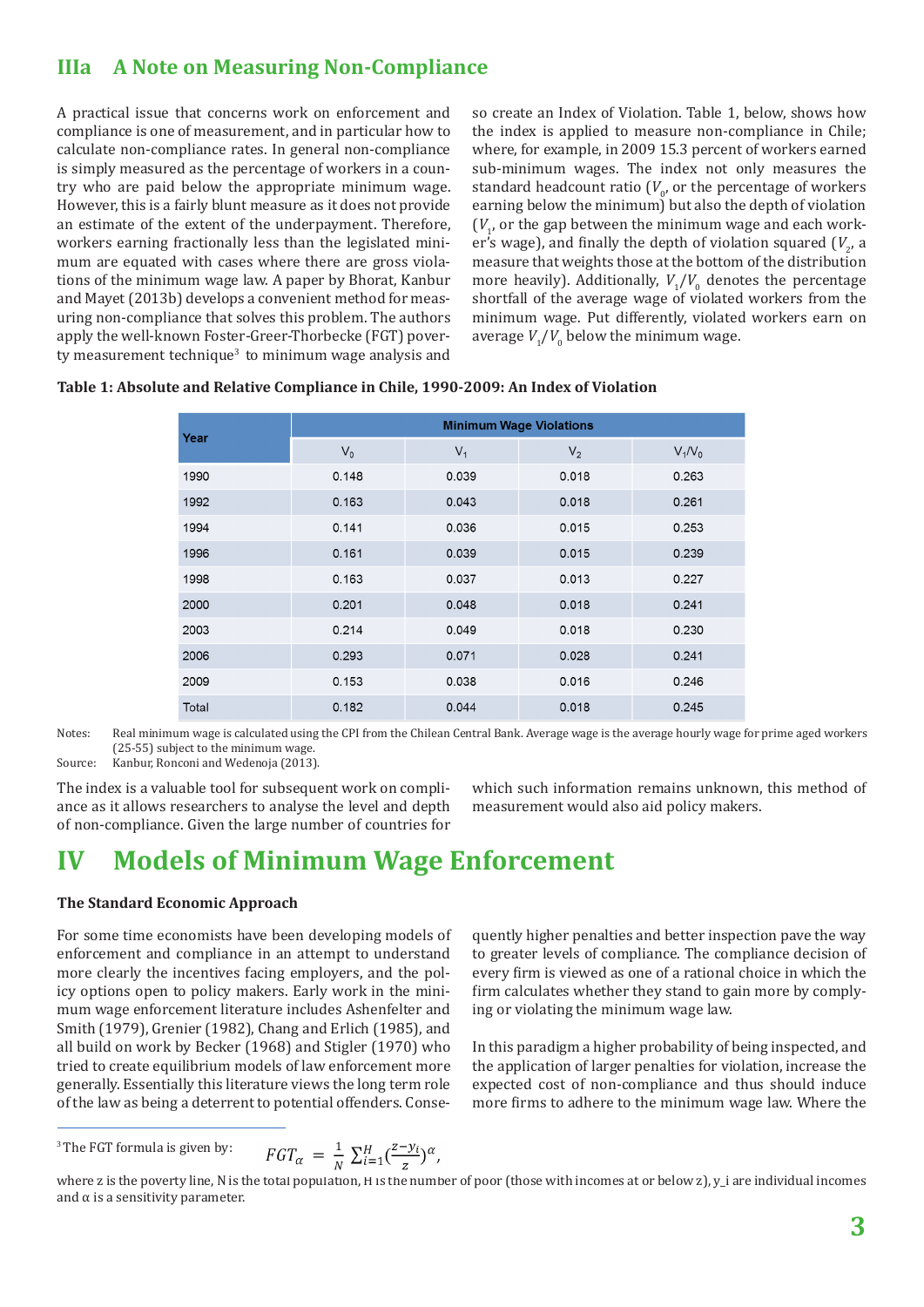### **IIIa A Note on Measuring Non-Compliance**

A practical issue that concerns work on enforcement and compliance is one of measurement, and in particular how to calculate non-compliance rates. In general non-compliance is simply measured as the percentage of workers in a country who are paid below the appropriate minimum wage. However, this is a fairly blunt measure as it does not provide an estimate of the extent of the underpayment. Therefore, workers earning fractionally less than the legislated minimum are equated with cases where there are gross violations of the minimum wage law. A paper by Bhorat, Kanbur and Mayet (2013b) develops a convenient method for measuring non-compliance that solves this problem. The authors apply the well-known Foster-Greer-Thorbecke (FGT) poverty measurement technique<sup>3</sup> to minimum wage analysis and

so create an Index of Violation. Table 1, below, shows how the index is applied to measure non-compliance in Chile; where, for example, in 2009 15.3 percent of workers earned sub-minimum wages. The index not only measures the standard headcount ratio ( $V_{\rho}$  or the percentage of workers earning below the minimum) but also the depth of violation  $(V_1)$  or the gap between the minimum wage and each worker's wage), and finally the depth of violation squared  $(V_2, a)$ measure that weights those at the bottom of the distribution more heavily). Additionally,  $V_1/V_0$  denotes the percentage shortfall of the average wage of violated workers from the minimum wage. Put differently, violated workers earn on average  $V_1/V_0$  below the minimum wage.

|  |  | Table 1: Absolute and Relative Compliance in Chile, 1990-2009: An Index of Violation |  |
|--|--|--------------------------------------------------------------------------------------|--|
|  |  |                                                                                      |  |

| Year  | <b>Minimum Wage Violations</b> |       |                |           |  |  |  |
|-------|--------------------------------|-------|----------------|-----------|--|--|--|
|       | $V_0$                          | $V_1$ | V <sub>2</sub> | $V_1/V_0$ |  |  |  |
| 1990  | 0.148                          | 0.039 | 0.018          | 0.263     |  |  |  |
| 1992  | 0.163                          | 0.043 | 0.018          | 0.261     |  |  |  |
| 1994  | 0.141                          | 0.036 | 0.015          | 0.253     |  |  |  |
| 1996  | 0.161                          | 0.039 | 0.015          | 0.239     |  |  |  |
| 1998  | 0.163                          | 0.037 | 0.013          | 0.227     |  |  |  |
| 2000  | 0.201                          | 0.048 | 0.018          | 0.241     |  |  |  |
| 2003  | 0.214                          | 0.049 | 0.018          | 0.230     |  |  |  |
| 2006  | 0.293                          | 0.071 | 0.028          | 0.241     |  |  |  |
| 2009  | 0.153                          | 0.038 | 0.016          | 0.246     |  |  |  |
| Total | 0.182                          | 0.044 | 0.018          | 0.245     |  |  |  |

Notes: Real minimum wage is calculated using the CPI from the Chilean Central Bank. Average wage is the average hourly wage for prime aged workers (25-55) subject to the minimum wage.

Source: Kanbur, Ronconi and Wedenoja (2013).

The index is a valuable tool for subsequent work on compliance as it allows researchers to analyse the level and depth of non-compliance. Given the large number of countries for which such information remains unknown, this method of measurement would also aid policy makers.

### **IV Models of Minimum Wage Enforcement**

#### **The Standard Economic Approach**

For some time economists have been developing models of enforcement and compliance in an attempt to understand more clearly the incentives facing employers, and the policy options open to policy makers. Early work in the minimum wage enforcement literature includes Ashenfelter and Smith (1979), Grenier (1982), Chang and Erlich (1985), and all build on work by Becker (1968) and Stigler (1970) who tried to create equilibrium models of law enforcement more generally. Essentially this literature views the long term role of the law as being a deterrent to potential offenders. Consequently higher penalties and better inspection pave the way to greater levels of compliance. The compliance decision of every firm is viewed as one of a rational choice in which the firm calculates whether they stand to gain more by complying or violating the minimum wage law.

In this paradigm a higher probability of being inspected, and the application of larger penalties for violation, increase the expected cost of non-compliance and thus should induce more firms to adhere to the minimum wage law. Where the

$$
FGT_{\alpha} = \frac{1}{N} \sum_{i=1}^{H} (\frac{z - y_i}{z})^{\alpha},
$$

<sup>&</sup>lt;sup>3</sup> The FGT formula is given by:

where z is the poverty line, N is the total population, H is the number of poor (those with incomes at or below  $z$ ),  $y_i$  are individual incomes and  $\alpha$  is a sensitivity parameter.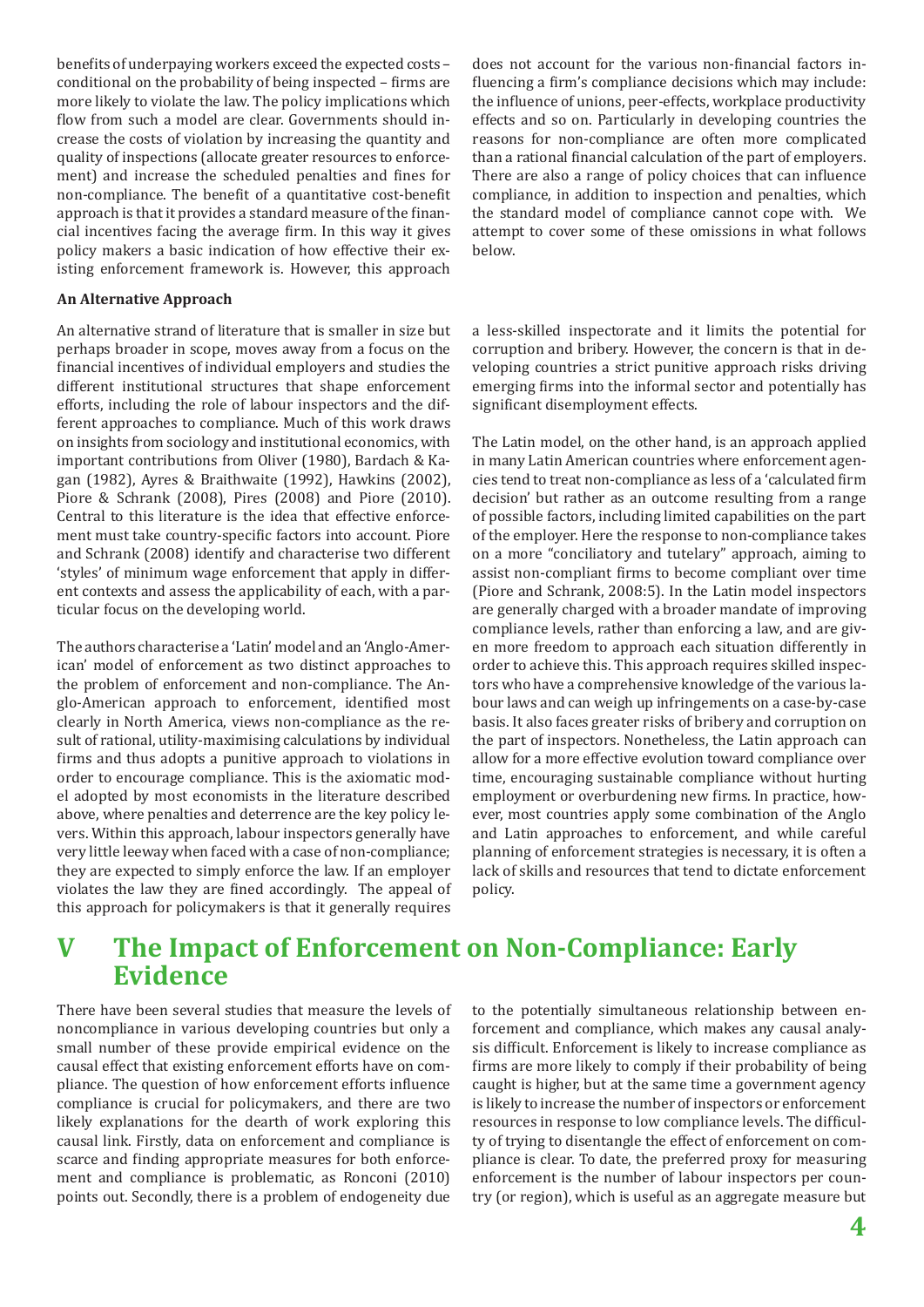benefits of underpaying workers exceed the expected costs – conditional on the probability of being inspected – firms are more likely to violate the law. The policy implications which flow from such a model are clear. Governments should increase the costs of violation by increasing the quantity and quality of inspections (allocate greater resources to enforcement) and increase the scheduled penalties and fines for non-compliance. The benefit of a quantitative cost-benefit approach is that it provides a standard measure of the financial incentives facing the average firm. In this way it gives policy makers a basic indication of how effective their existing enforcement framework is. However, this approach

#### **An Alternative Approach**

An alternative strand of literature that is smaller in size but perhaps broader in scope, moves away from a focus on the financial incentives of individual employers and studies the different institutional structures that shape enforcement efforts, including the role of labour inspectors and the different approaches to compliance. Much of this work draws on insights from sociology and institutional economics, with important contributions from Oliver (1980), Bardach & Kagan (1982), Ayres & Braithwaite (1992), Hawkins (2002), Piore & Schrank (2008), Pires (2008) and Piore (2010). Central to this literature is the idea that effective enforcement must take country-specific factors into account. Piore and Schrank (2008) identify and characterise two different 'styles' of minimum wage enforcement that apply in different contexts and assess the applicability of each, with a particular focus on the developing world.

The authors characterise a 'Latin' model and an 'Anglo-American' model of enforcement as two distinct approaches to the problem of enforcement and non-compliance. The Anglo-American approach to enforcement, identified most clearly in North America, views non-compliance as the result of rational, utility-maximising calculations by individual firms and thus adopts a punitive approach to violations in order to encourage compliance. This is the axiomatic model adopted by most economists in the literature described above, where penalties and deterrence are the key policy levers. Within this approach, labour inspectors generally have very little leeway when faced with a case of non-compliance; they are expected to simply enforce the law. If an employer violates the law they are fined accordingly. The appeal of this approach for policymakers is that it generally requires does not account for the various non-financial factors influencing a firm's compliance decisions which may include: the influence of unions, peer-effects, workplace productivity effects and so on. Particularly in developing countries the reasons for non-compliance are often more complicated than a rational financial calculation of the part of employers. There are also a range of policy choices that can influence compliance, in addition to inspection and penalties, which the standard model of compliance cannot cope with. We attempt to cover some of these omissions in what follows below.

a less-skilled inspectorate and it limits the potential for corruption and bribery. However, the concern is that in developing countries a strict punitive approach risks driving emerging firms into the informal sector and potentially has significant disemployment effects.

The Latin model, on the other hand, is an approach applied in many Latin American countries where enforcement agencies tend to treat non-compliance as less of a 'calculated firm decision' but rather as an outcome resulting from a range of possible factors, including limited capabilities on the part of the employer. Here the response to non-compliance takes on a more "conciliatory and tutelary" approach, aiming to assist non-compliant firms to become compliant over time (Piore and Schrank, 2008:5). In the Latin model inspectors are generally charged with a broader mandate of improving compliance levels, rather than enforcing a law, and are given more freedom to approach each situation differently in order to achieve this. This approach requires skilled inspectors who have a comprehensive knowledge of the various labour laws and can weigh up infringements on a case-by-case basis. It also faces greater risks of bribery and corruption on the part of inspectors. Nonetheless, the Latin approach can allow for a more effective evolution toward compliance over time, encouraging sustainable compliance without hurting employment or overburdening new firms. In practice, however, most countries apply some combination of the Anglo and Latin approaches to enforcement, and while careful planning of enforcement strategies is necessary, it is often a lack of skills and resources that tend to dictate enforcement policy.

### **V The Impact of Enforcement on Non-Compliance: Early Evidence**

There have been several studies that measure the levels of noncompliance in various developing countries but only a small number of these provide empirical evidence on the causal effect that existing enforcement efforts have on compliance. The question of how enforcement efforts influence compliance is crucial for policymakers, and there are two likely explanations for the dearth of work exploring this causal link. Firstly, data on enforcement and compliance is scarce and finding appropriate measures for both enforcement and compliance is problematic, as Ronconi (2010) points out. Secondly, there is a problem of endogeneity due to the potentially simultaneous relationship between enforcement and compliance, which makes any causal analysis difficult. Enforcement is likely to increase compliance as firms are more likely to comply if their probability of being caught is higher, but at the same time a government agency is likely to increase the number of inspectors or enforcement resources in response to low compliance levels. The difficulty of trying to disentangle the effect of enforcement on compliance is clear. To date, the preferred proxy for measuring enforcement is the number of labour inspectors per country (or region), which is useful as an aggregate measure but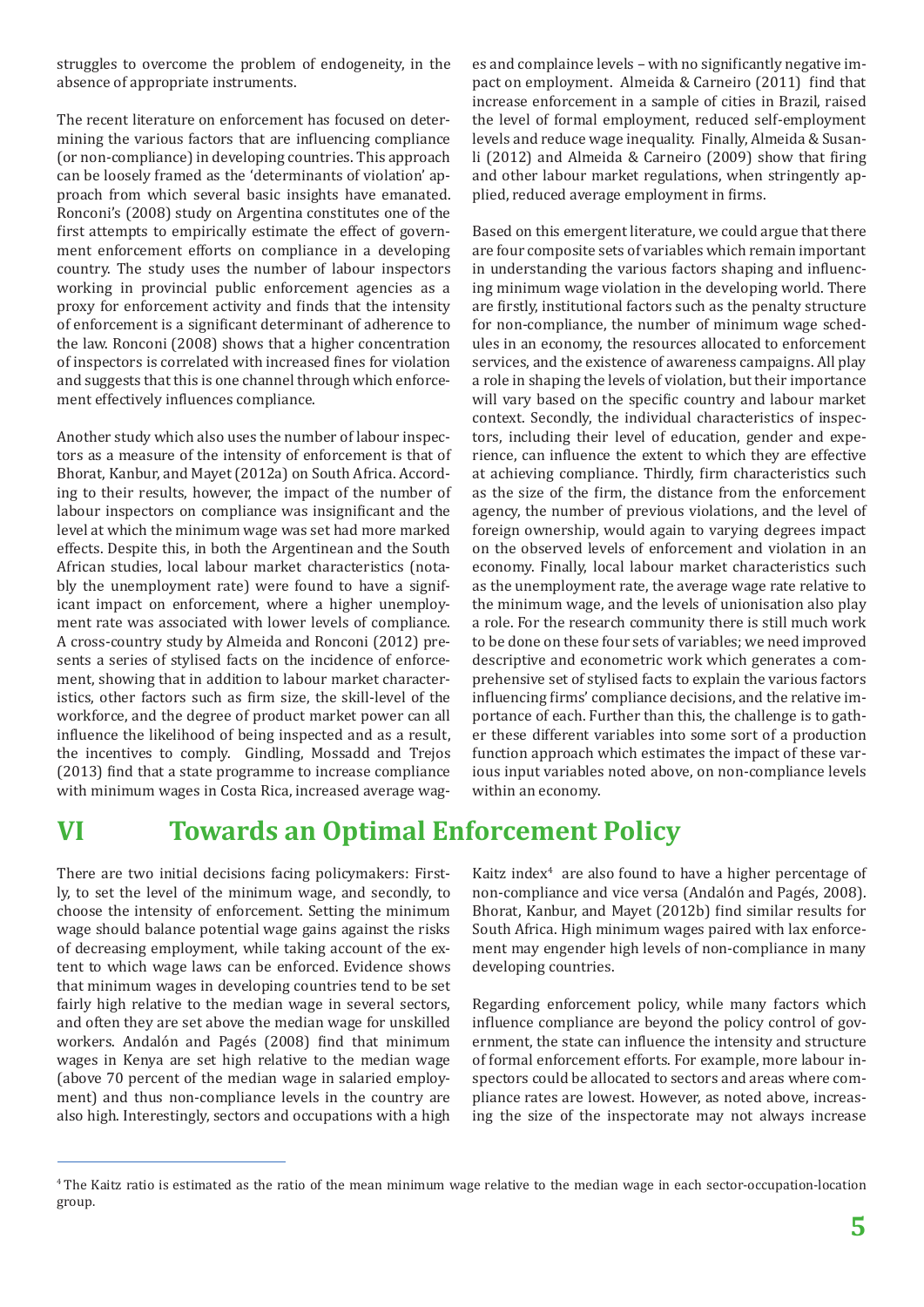struggles to overcome the problem of endogeneity, in the absence of appropriate instruments.

The recent literature on enforcement has focused on determining the various factors that are influencing compliance (or non-compliance) in developing countries. This approach can be loosely framed as the 'determinants of violation' approach from which several basic insights have emanated. Ronconi's (2008) study on Argentina constitutes one of the first attempts to empirically estimate the effect of government enforcement efforts on compliance in a developing country. The study uses the number of labour inspectors working in provincial public enforcement agencies as a proxy for enforcement activity and finds that the intensity of enforcement is a significant determinant of adherence to the law. Ronconi (2008) shows that a higher concentration of inspectors is correlated with increased fines for violation and suggests that this is one channel through which enforcement effectively influences compliance.

Another study which also uses the number of labour inspectors as a measure of the intensity of enforcement is that of Bhorat, Kanbur, and Mayet (2012a) on South Africa. According to their results, however, the impact of the number of labour inspectors on compliance was insignificant and the level at which the minimum wage was set had more marked effects. Despite this, in both the Argentinean and the South African studies, local labour market characteristics (notably the unemployment rate) were found to have a significant impact on enforcement, where a higher unemployment rate was associated with lower levels of compliance. A cross-country study by Almeida and Ronconi (2012) presents a series of stylised facts on the incidence of enforcement, showing that in addition to labour market characteristics, other factors such as firm size, the skill-level of the workforce, and the degree of product market power can all influence the likelihood of being inspected and as a result, the incentives to comply. Gindling, Mossadd and Trejos (2013) find that a state programme to increase compliance with minimum wages in Costa Rica, increased average wag-

es and complaince levels – with no significantly negative impact on employment. Almeida & Carneiro (2011) find that increase enforcement in a sample of cities in Brazil, raised the level of formal employment, reduced self-employment levels and reduce wage inequality. Finally, Almeida & Susanli (2012) and Almeida & Carneiro (2009) show that firing and other labour market regulations, when stringently applied, reduced average employment in firms.

Based on this emergent literature, we could argue that there are four composite sets of variables which remain important in understanding the various factors shaping and influencing minimum wage violation in the developing world. There are firstly, institutional factors such as the penalty structure for non-compliance, the number of minimum wage schedules in an economy, the resources allocated to enforcement services, and the existence of awareness campaigns. All play a role in shaping the levels of violation, but their importance will vary based on the specific country and labour market context. Secondly, the individual characteristics of inspectors, including their level of education, gender and experience, can influence the extent to which they are effective at achieving compliance. Thirdly, firm characteristics such as the size of the firm, the distance from the enforcement agency, the number of previous violations, and the level of foreign ownership, would again to varying degrees impact on the observed levels of enforcement and violation in an economy. Finally, local labour market characteristics such as the unemployment rate, the average wage rate relative to the minimum wage, and the levels of unionisation also play a role. For the research community there is still much work to be done on these four sets of variables; we need improved descriptive and econometric work which generates a comprehensive set of stylised facts to explain the various factors influencing firms' compliance decisions, and the relative importance of each. Further than this, the challenge is to gather these different variables into some sort of a production function approach which estimates the impact of these various input variables noted above, on non-compliance levels within an economy.

### **VI Towards an Optimal Enforcement Policy**

There are two initial decisions facing policymakers: Firstly, to set the level of the minimum wage, and secondly, to choose the intensity of enforcement. Setting the minimum wage should balance potential wage gains against the risks of decreasing employment, while taking account of the extent to which wage laws can be enforced. Evidence shows that minimum wages in developing countries tend to be set fairly high relative to the median wage in several sectors, and often they are set above the median wage for unskilled workers. Andalón and Pagés (2008) find that minimum wages in Kenya are set high relative to the median wage (above 70 percent of the median wage in salaried employment) and thus non-compliance levels in the country are also high. Interestingly, sectors and occupations with a high

Kaitz index $4$  are also found to have a higher percentage of non-compliance and vice versa (Andalón and Pagés, 2008). Bhorat, Kanbur, and Mayet (2012b) find similar results for South Africa. High minimum wages paired with lax enforcement may engender high levels of non-compliance in many developing countries.

Regarding enforcement policy, while many factors which influence compliance are beyond the policy control of government, the state can influence the intensity and structure of formal enforcement efforts. For example, more labour inspectors could be allocated to sectors and areas where compliance rates are lowest. However, as noted above, increasing the size of the inspectorate may not always increase

<sup>4</sup> The Kaitz ratio is estimated as the ratio of the mean minimum wage relative to the median wage in each sector-occupation-location group.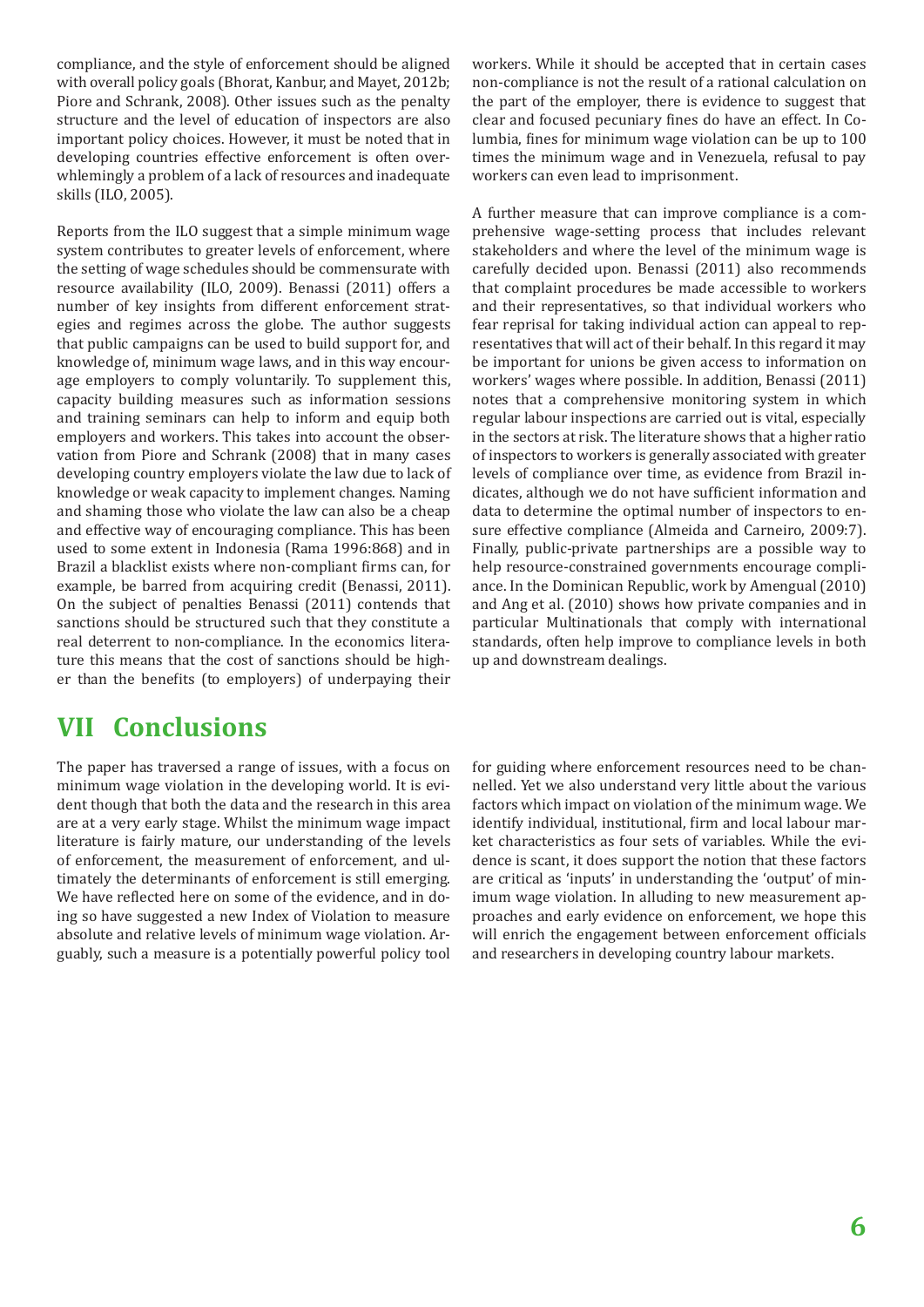compliance, and the style of enforcement should be aligned with overall policy goals (Bhorat, Kanbur, and Mayet, 2012b; Piore and Schrank, 2008). Other issues such as the penalty structure and the level of education of inspectors are also important policy choices. However, it must be noted that in developing countries effective enforcement is often overwhlemingly a problem of a lack of resources and inadequate skills (ILO, 2005).

Reports from the ILO suggest that a simple minimum wage system contributes to greater levels of enforcement, where the setting of wage schedules should be commensurate with resource availability (ILO, 2009). Benassi (2011) offers a number of key insights from different enforcement strategies and regimes across the globe. The author suggests that public campaigns can be used to build support for, and knowledge of, minimum wage laws, and in this way encourage employers to comply voluntarily. To supplement this, capacity building measures such as information sessions and training seminars can help to inform and equip both employers and workers. This takes into account the observation from Piore and Schrank (2008) that in many cases developing country employers violate the law due to lack of knowledge or weak capacity to implement changes. Naming and shaming those who violate the law can also be a cheap and effective way of encouraging compliance. This has been used to some extent in Indonesia (Rama 1996:868) and in Brazil a blacklist exists where non-compliant firms can, for example, be barred from acquiring credit (Benassi, 2011). On the subject of penalties Benassi (2011) contends that sanctions should be structured such that they constitute a real deterrent to non-compliance. In the economics literature this means that the cost of sanctions should be higher than the benefits (to employers) of underpaying their

### **VII Conclusions**

The paper has traversed a range of issues, with a focus on minimum wage violation in the developing world. It is evident though that both the data and the research in this area are at a very early stage. Whilst the minimum wage impact literature is fairly mature, our understanding of the levels of enforcement, the measurement of enforcement, and ultimately the determinants of enforcement is still emerging. We have reflected here on some of the evidence, and in doing so have suggested a new Index of Violation to measure absolute and relative levels of minimum wage violation. Arguably, such a measure is a potentially powerful policy tool workers. While it should be accepted that in certain cases non-compliance is not the result of a rational calculation on the part of the employer, there is evidence to suggest that clear and focused pecuniary fines do have an effect. In Columbia, fines for minimum wage violation can be up to 100 times the minimum wage and in Venezuela, refusal to pay workers can even lead to imprisonment.

A further measure that can improve compliance is a comprehensive wage-setting process that includes relevant stakeholders and where the level of the minimum wage is carefully decided upon. Benassi (2011) also recommends that complaint procedures be made accessible to workers and their representatives, so that individual workers who fear reprisal for taking individual action can appeal to representatives that will act of their behalf. In this regard it may be important for unions be given access to information on workers' wages where possible. In addition, Benassi (2011) notes that a comprehensive monitoring system in which regular labour inspections are carried out is vital, especially in the sectors at risk. The literature shows that a higher ratio of inspectors to workers is generally associated with greater levels of compliance over time, as evidence from Brazil indicates, although we do not have sufficient information and data to determine the optimal number of inspectors to ensure effective compliance (Almeida and Carneiro, 2009:7). Finally, public-private partnerships are a possible way to help resource-constrained governments encourage compliance. In the Dominican Republic, work by Amengual (2010) and Ang et al. (2010) shows how private companies and in particular Multinationals that comply with international standards, often help improve to compliance levels in both up and downstream dealings.

for guiding where enforcement resources need to be channelled. Yet we also understand very little about the various factors which impact on violation of the minimum wage. We identify individual, institutional, firm and local labour market characteristics as four sets of variables. While the evidence is scant, it does support the notion that these factors are critical as 'inputs' in understanding the 'output' of minimum wage violation. In alluding to new measurement approaches and early evidence on enforcement, we hope this will enrich the engagement between enforcement officials and researchers in developing country labour markets.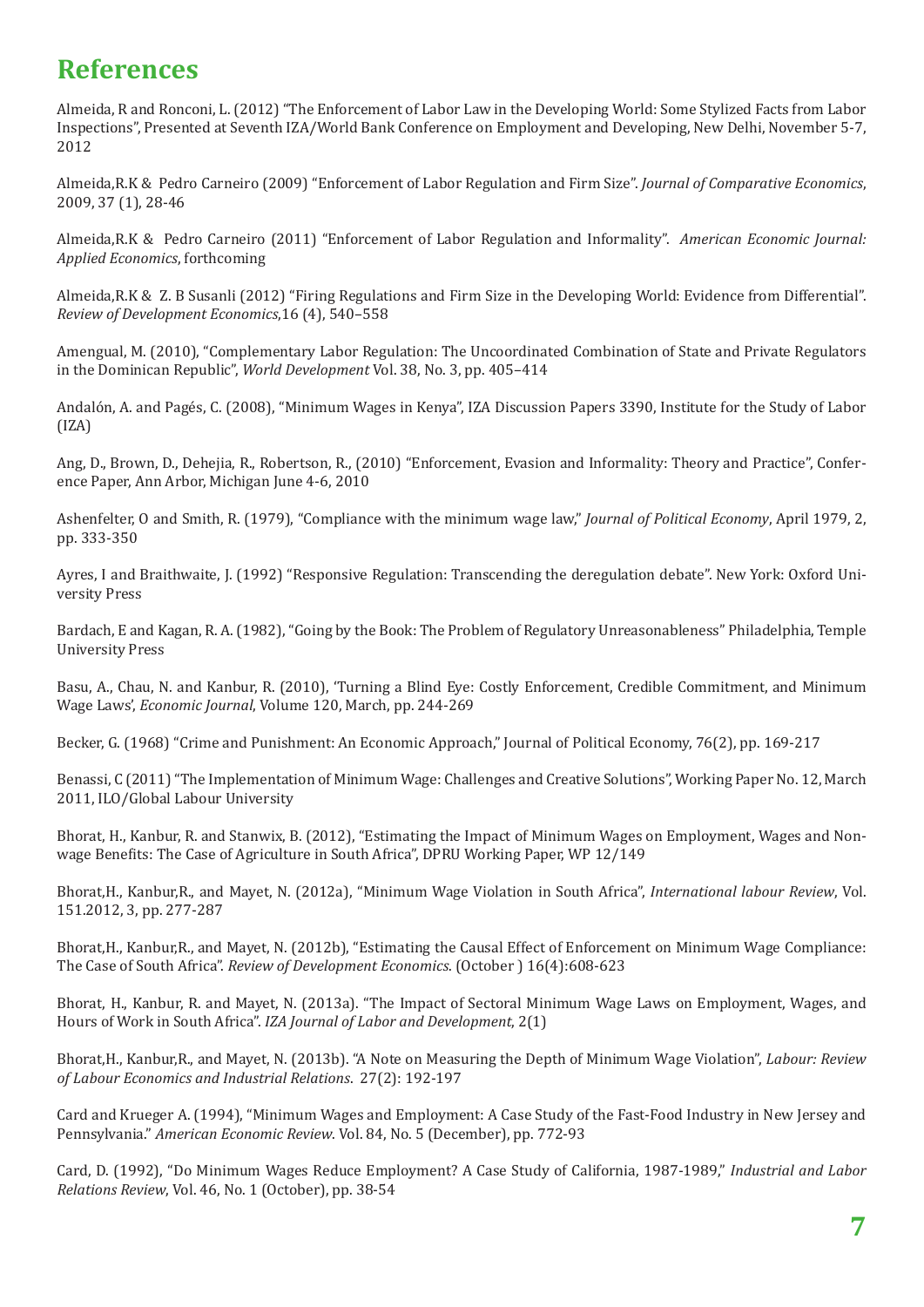### **References**

Almeida, R and Ronconi, L. (2012) "The Enforcement of Labor Law in the Developing World: Some Stylized Facts from Labor Inspections", Presented at Seventh IZA/World Bank Conference on Employment and Developing, New Delhi, November 5-7, 2012

Almeida,R.K & Pedro Carneiro (2009) "Enforcement of Labor Regulation and Firm Size". *Journal of Comparative Economics*, 2009, 37 (1), 28-46

Almeida,R.K & Pedro Carneiro (2011) "Enforcement of Labor Regulation and Informality". *American Economic Journal: Applied Economics*, forthcoming

Almeida,R.K & Z. B Susanli (2012) "Firing Regulations and Firm Size in the Developing World: Evidence from Differential". *Review of Development Economics*,16 (4), 540–558

Amengual, M. (2010), "Complementary Labor Regulation: The Uncoordinated Combination of State and Private Regulators in the Dominican Republic", *World Development* Vol. 38, No. 3, pp. 405–414

Andalón, A. and Pagés, C. (2008), "Minimum Wages in Kenya", IZA Discussion Papers 3390, Institute for the Study of Labor (IZA)

Ang, D., Brown, D., Dehejia, R., Robertson, R., (2010) "Enforcement, Evasion and Informality: Theory and Practice", Conference Paper, Ann Arbor, Michigan June 4-6, 2010

Ashenfelter, O and Smith, R. (1979), "Compliance with the minimum wage law," *Journal of Political Economy*, April 1979, 2, pp. 333-350

Ayres, I and Braithwaite, J. (1992) "Responsive Regulation: Transcending the deregulation debate". New York: Oxford University Press

Bardach, E and Kagan, R. A. (1982), "Going by the Book: The Problem of Regulatory Unreasonableness" Philadelphia, Temple University Press

Basu, A., Chau, N. and Kanbur, R. (2010), 'Turning a Blind Eye: Costly Enforcement, Credible Commitment, and Minimum Wage Laws', *Economic Journal*, Volume 120, March, pp. 244-269

Becker, G. (1968) "Crime and Punishment: An Economic Approach," Journal of Political Economy, 76(2), pp. 169-217

Benassi, C (2011) "The Implementation of Minimum Wage: Challenges and Creative Solutions", Working Paper No. 12, March 2011, ILO/Global Labour University

Bhorat, H., Kanbur, R. and Stanwix, B. (2012), "Estimating the Impact of Minimum Wages on Employment, Wages and Nonwage Benefits: The Case of Agriculture in South Africa", DPRU Working Paper, WP 12/149

Bhorat,H., Kanbur,R., and Mayet, N. (2012a), "Minimum Wage Violation in South Africa", *International labour Review*, Vol. 151.2012, 3, pp. 277-287

Bhorat,H., Kanbur,R., and Mayet, N. (2012b), "Estimating the Causal Effect of Enforcement on Minimum Wage Compliance: The Case of South Africa". *Review of Development Economics*. (October ) 16(4):608-623

Bhorat, H., Kanbur, R. and Mayet, N. (2013a). "The Impact of Sectoral Minimum Wage Laws on Employment, Wages, and Hours of Work in South Africa". *IZA Journal of Labor and Development*, 2(1)

Bhorat,H., Kanbur,R., and Mayet, N. (2013b). "A Note on Measuring the Depth of Minimum Wage Violation", *Labour: Review of Labour Economics and Industrial Relations*. 27(2): 192-197

Card and Krueger A. (1994), "Minimum Wages and Employment: A Case Study of the Fast-Food Industry in New Jersey and Pennsylvania." *American Economic Review*. Vol. 84, No. 5 (December), pp. 772-93

Card, D. (1992), "Do Minimum Wages Reduce Employment? A Case Study of California, 1987-1989," *Industrial and Labor Relations Review*, Vol. 46, No. 1 (October), pp. 38-54